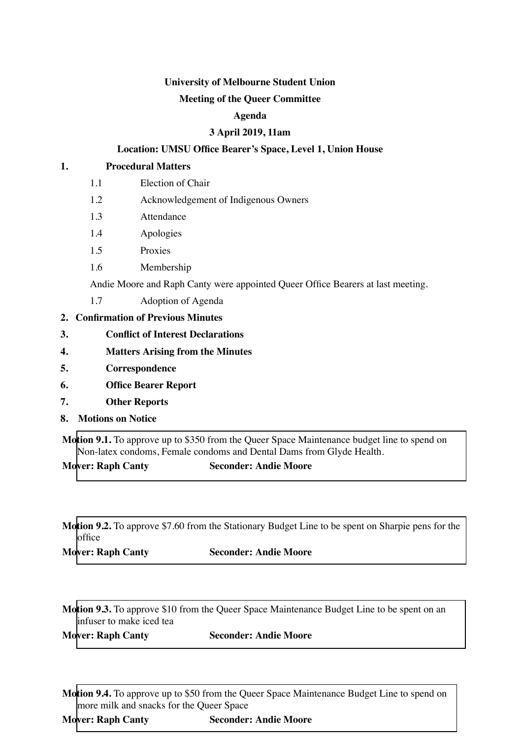# **University of Melbourne Student Union**

# **Meeting of the Queer Committee**

# **Agenda**

# **3 April 2019, 11am**

# **Location: UMSU Office Bearer's Space, Level 1, Union House**

#### **1. Procedural Matters**

- 1.1 Election of Chair
- 1.2 Acknowledgement of Indigenous Owners
- 1.3 Attendance
- 1.4 Apologies
- 1.5 Proxies
- 1.6 Membership

Andie Moore and Raph Canty were appointed Queer Office Bearers at last meeting.

- 1.7 Adoption of Agenda
- **2. Confirmation of Previous Minutes**
- **3. Conflict of Interest Declarations**
- **4. Matters Arising from the Minutes**
- **5. Correspondence**
- **6. Office Bearer Report**
- **7. Other Reports**
- **8. Motions on Notice**

**Motion 9.1.** To approve up to \$350 from the Queer Space Maintenance budget line to spend on Non-latex condoms, Female condoms and Dental Dams from Glyde Health.

# **Mover: Raph Canty Seconder: Andie Moore**

**Motion 9.2.** To approve \$7.60 from the Stationary Budget Line to be spent on Sharpie pens for the office

**Mover: Raph Canty Seconder: Andie Moore**

**Motion 9.3.** To approve \$10 from the Queer Space Maintenance Budget Line to be spent on an infuser to make iced tea

**Mover: Raph Canty Seconder: Andie Moore**

**Motion 9.4.** To approve up to \$50 from the Queer Space Maintenance Budget Line to spend on more milk and snacks for the Queer Space